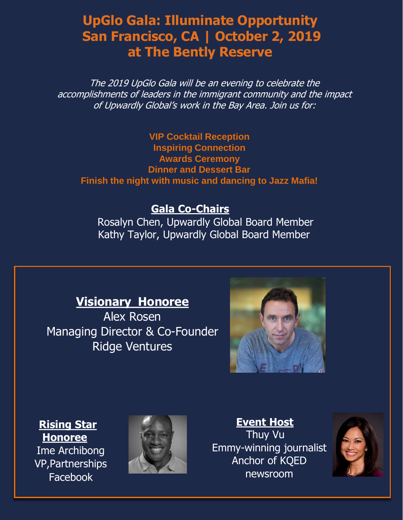## **UpGlo Gala: Illuminate Opportunity San Francisco, CA | October 2, 2019 at The Bently Reserve**

The 2019 UpGlo Gala will be an evening to celebrate the accomplishments of leaders in the immigrant community and the impact of Upwardly Global's work in the Bay Area. Join us for:

**VIP Cocktail Reception Inspiring Connection Awards Ceremony Dinner and Dessert Bar Finish the night with music and dancing to Jazz Mafia!** 

#### **Gala Co-Chairs**

Rosalyn Chen, Upwardly Global Board Member Kathy Taylor, Upwardly Global Board Member

### **Visionary Honoree**

Alex Rosen Managing Director & Co-Founder Ridge Ventures



#### **Rising Star Honoree**

Ime Archibong VP,Partnerships Facebook



**Event Host** Thuy Vu Emmy-winning journalist Anchor of KQED newsroom